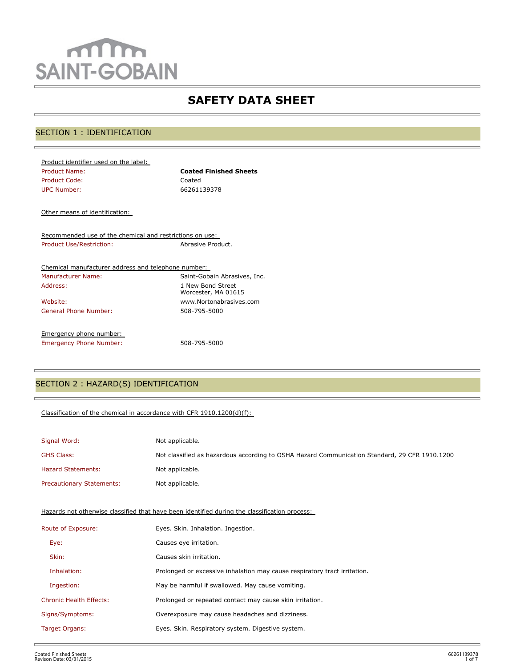# mm **SAINT-GOBAIN**

## **SAFETY DATA SHEET**

## SECTION 1 : IDENTIFICATION

| <b>Coated Finished Sheets</b> |
|-------------------------------|
| Coated                        |
| 66261139378                   |
|                               |

Other means of identification:

Recommended use of the chemical and restrictions on use: Product Use/Restriction: Abrasive Product.

| Chemical manufacturer address and telephone number: |                                          |
|-----------------------------------------------------|------------------------------------------|
| Manufacturer Name:                                  | Saint-Gobain Abrasives, Inc.             |
| Address:                                            | 1 New Bond Street<br>Worcester, MA 01615 |
| Website:                                            | www.Nortonabrasives.com                  |
| General Phone Number:                               | 508-795-5000                             |
| Emergency phone number:                             |                                          |
| <b>Emergency Phone Number:</b>                      | 508-795-5000                             |

## SECTION 2 : HAZARD(S) IDENTIFICATION

## Classification of the chemical in accordance with CFR 1910.1200(d)(f):

| Signal Word:                     | Not applicable.                                                                               |
|----------------------------------|-----------------------------------------------------------------------------------------------|
| <b>GHS Class:</b>                | Not classified as hazardous according to OSHA Hazard Communication Standard, 29 CFR 1910.1200 |
| <b>Hazard Statements:</b>        | Not applicable.                                                                               |
| <b>Precautionary Statements:</b> | Not applicable.                                                                               |

Hazards not otherwise classified that have been identified during the classification process:

| Route of Exposure:             | Eyes. Skin. Inhalation. Ingestion.                                        |
|--------------------------------|---------------------------------------------------------------------------|
| Eye:                           | Causes eye irritation.                                                    |
| Skin:                          | Causes skin irritation.                                                   |
| Inhalation:                    | Prolonged or excessive inhalation may cause respiratory tract irritation. |
| Ingestion:                     | May be harmful if swallowed. May cause vomiting.                          |
| <b>Chronic Health Effects:</b> | Prolonged or repeated contact may cause skin irritation.                  |
| Signs/Symptoms:                | Overexposure may cause headaches and dizziness.                           |
| Target Organs:                 | Eyes. Skin. Respiratory system. Digestive system.                         |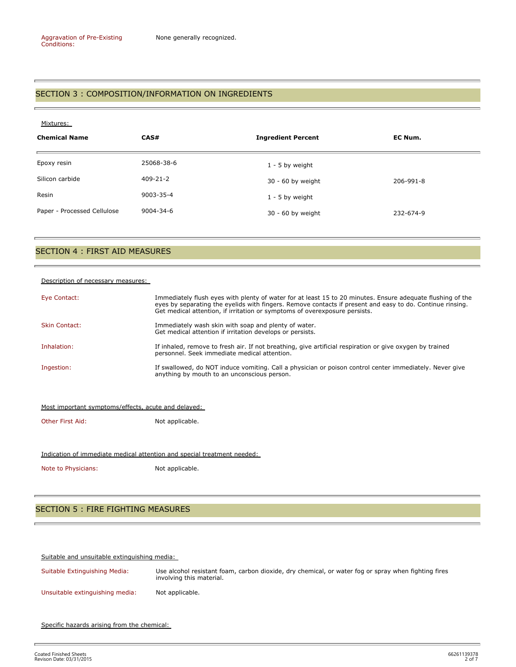### SECTION 3 : COMPOSITION/INFORMATION ON INGREDIENTS

| Mixtures:                   |                |                           |           |  |
|-----------------------------|----------------|---------------------------|-----------|--|
| <b>Chemical Name</b>        | CAS#           | <b>Ingredient Percent</b> | EC Num.   |  |
| Epoxy resin                 | 25068-38-6     | $1 - 5$ by weight         |           |  |
| Silicon carbide             | $409 - 21 - 2$ | 30 - 60 by weight         | 206-991-8 |  |
| Resin                       | 9003-35-4      | $1 - 5$ by weight         |           |  |
| Paper - Processed Cellulose | 9004-34-6      | 30 - 60 by weight         | 232-674-9 |  |

#### SECTION 4 : FIRST AID MEASURES

#### Description of necessary measures:

| Eye Contact:         | Immediately flush eyes with plenty of water for at least 15 to 20 minutes. Ensure adequate flushing of the<br>eyes by separating the eyelids with fingers. Remove contacts if present and easy to do. Continue rinsing.<br>Get medical attention, if irritation or symptoms of overexposure persists. |
|----------------------|-------------------------------------------------------------------------------------------------------------------------------------------------------------------------------------------------------------------------------------------------------------------------------------------------------|
| <b>Skin Contact:</b> | Immediately wash skin with soap and plenty of water.<br>Get medical attention if irritation develops or persists.                                                                                                                                                                                     |
| Inhalation:          | If inhaled, remove to fresh air. If not breathing, give artificial respiration or give oxygen by trained<br>personnel. Seek immediate medical attention.                                                                                                                                              |
| Ingestion:           | If swallowed, do NOT induce vomiting. Call a physician or poison control center immediately. Never give<br>anything by mouth to an unconscious person.                                                                                                                                                |
|                      |                                                                                                                                                                                                                                                                                                       |

#### Most important symptoms/effects, acute and delayed:

Other First Aid: Not applicable.

#### Indication of immediate medical attention and special treatment needed:

Note to Physicians: Not applicable.

## SECTION 5 : FIRE FIGHTING MEASURES

Suitable and unsuitable extinguishing media:

Suitable Extinguishing Media: Use alcohol resistant foam, carbon dioxide, dry chemical, or water fog or spray when fighting fires involving this material. Unsuitable extinguishing media: Not applicable.

Specific hazards arising from the chemical: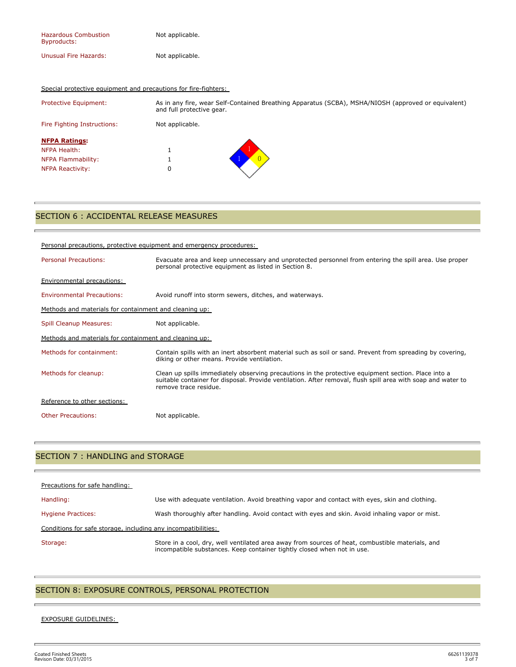| <b>Hazardous Combustion</b><br>Byproducts: | Not applicable. |
|--------------------------------------------|-----------------|
| Unusual Fire Hazards:                      | Not applicable. |

#### Special protective equipment and precautions for fire-fighters:

| <b>Protective Equipment:</b> | As in any fire, wear Self-Contained Breathing Apparatus (SCBA), MSHA/NIOSH (approved or equivalent)<br>and full protective gear. |
|------------------------------|----------------------------------------------------------------------------------------------------------------------------------|
| Fire Fighting Instructions:  | Not applicable.                                                                                                                  |
| <b>NFPA Ratings:</b>         |                                                                                                                                  |
| NFPA Health:                 |                                                                                                                                  |
| NFPA Flammability:           |                                                                                                                                  |
| <b>NFPA Reactivity:</b>      | 0                                                                                                                                |

## SECTION 6 : ACCIDENTAL RELEASE MEASURES

| Personal precautions, protective equipment and emergency procedures: |                                                                                                                                                                                                                                              |  |  |
|----------------------------------------------------------------------|----------------------------------------------------------------------------------------------------------------------------------------------------------------------------------------------------------------------------------------------|--|--|
| <b>Personal Precautions:</b>                                         | Evacuate area and keep unnecessary and unprotected personnel from entering the spill area. Use proper<br>personal protective equipment as listed in Section 8.                                                                               |  |  |
| <b>Environmental precautions:</b>                                    |                                                                                                                                                                                                                                              |  |  |
| <b>Environmental Precautions:</b>                                    | Avoid runoff into storm sewers, ditches, and waterways.                                                                                                                                                                                      |  |  |
| Methods and materials for containment and cleaning up:               |                                                                                                                                                                                                                                              |  |  |
| Spill Cleanup Measures:                                              | Not applicable.                                                                                                                                                                                                                              |  |  |
| Methods and materials for containment and cleaning up:               |                                                                                                                                                                                                                                              |  |  |
| Methods for containment:                                             | Contain spills with an inert absorbent material such as soil or sand. Prevent from spreading by covering,<br>diking or other means. Provide ventilation.                                                                                     |  |  |
| Methods for cleanup:                                                 | Clean up spills immediately observing precautions in the protective equipment section. Place into a<br>suitable container for disposal. Provide ventilation. After removal, flush spill area with soap and water to<br>remove trace residue. |  |  |
| Reference to other sections:                                         |                                                                                                                                                                                                                                              |  |  |
| <b>Other Precautions:</b>                                            | Not applicable.                                                                                                                                                                                                                              |  |  |

## SECTION 7 : HANDLING and STORAGE

| Precautions for safe handling:                                |                                                                                                                                                                             |  |  |
|---------------------------------------------------------------|-----------------------------------------------------------------------------------------------------------------------------------------------------------------------------|--|--|
| Handling:                                                     | Use with adequate ventilation. Avoid breathing vapor and contact with eyes, skin and clothing.                                                                              |  |  |
| <b>Hygiene Practices:</b>                                     | Wash thoroughly after handling. Avoid contact with eyes and skin. Avoid inhaling vapor or mist.                                                                             |  |  |
| Conditions for safe storage, including any incompatibilities: |                                                                                                                                                                             |  |  |
| Storage:                                                      | Store in a cool, dry, well ventilated area away from sources of heat, combustible materials, and<br>incompatible substances. Keep container tightly closed when not in use. |  |  |

## SECTION 8: EXPOSURE CONTROLS, PERSONAL PROTECTION

#### EXPOSURE GUIDELINES:

t.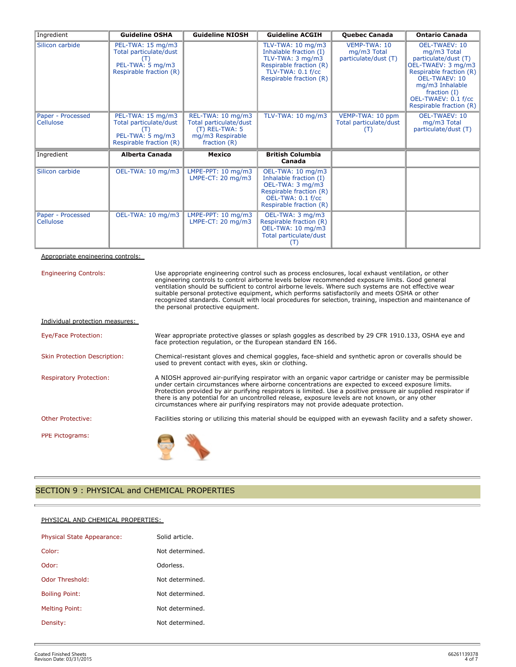| Ingredient                            | <b>Guideline OSHA</b>                                                                      | <b>Guideline NIOSH</b>                                                                                | <b>Guideline ACGIH</b>                                                                                                                     | <b>Ouebec Canada</b>                                | <b>Ontario Canada</b>                                                                                                                                                                                                  |
|---------------------------------------|--------------------------------------------------------------------------------------------|-------------------------------------------------------------------------------------------------------|--------------------------------------------------------------------------------------------------------------------------------------------|-----------------------------------------------------|------------------------------------------------------------------------------------------------------------------------------------------------------------------------------------------------------------------------|
| Silicon carbide                       | PEL-TWA: 15 mg/m3<br>Total particulate/dust<br>PEL-TWA: 5 mg/m3<br>Respirable fraction (R) |                                                                                                       | TLV-TWA: 10 mg/m3<br>Inhalable fraction (I)<br>TLV-TWA: 3 mg/m3<br>Respirable fraction (R)<br>TLV-TWA: 0.1 f/cc<br>Respirable fraction (R) | VEMP-TWA: 10<br>mg/m3 Total<br>particulate/dust (T) | <b>OEL-TWAEV: 10</b><br>mg/m3 Total<br>particulate/dust (T)<br>OEL-TWAEV: 3 mg/m3<br>Respirable fraction (R)  <br>OEL-TWAEV: 10<br>mg/m3 Inhalable<br>fraction $(I)$<br>OEL-TWAEV: 0.1 f/cc<br>Respirable fraction (R) |
| Paper - Processed<br><b>Cellulose</b> | PEL-TWA: 15 mg/m3<br>Total particulate/dust<br>PEL-TWA: 5 mg/m3<br>Respirable fraction (R) | REL-TWA: 10 mg/m3<br>Total particulate/dust<br>$(T)$ REL-TWA: 5<br>mg/m3 Respirable<br>fraction $(R)$ | TLV-TWA: 10 mg/m3                                                                                                                          | VEMP-TWA: 10 ppm<br>Total particulate/dust<br>(T)   | <b>OEL-TWAEV: 10</b><br>mg/m3 Total<br>particulate/dust (T)                                                                                                                                                            |
| Ingredient                            | <b>Alberta Canada</b>                                                                      | Mexico                                                                                                | <b>British Columbia</b><br>Canada                                                                                                          |                                                     |                                                                                                                                                                                                                        |
| Silicon carbide                       | OEL-TWA: 10 mg/m3                                                                          | LMPE-PPT: $10 \text{ mg/m}$ 3<br>LMPE-CT: $20 \text{ mg/m}$ 3                                         | OEL-TWA: 10 mg/m3<br>Inhalable fraction (I)<br>OEL-TWA: 3 mg/m3<br>Respirable fraction (R)<br>OEL-TWA: 0.1 f/cc<br>Respirable fraction (R) |                                                     |                                                                                                                                                                                                                        |
| Paper - Processed<br><b>Cellulose</b> | OEL-TWA: 10 mg/m3                                                                          | LMPE-PPT: $10 \text{ mg/m}$ 3<br>LMPE-CT: $20 \text{ mg/m}$ 3                                         | OEL-TWA: 3 mg/m3<br>Respirable fraction (R)<br>OEL-TWA: 10 mg/m3<br>Total particulate/dust<br>(T)                                          |                                                     |                                                                                                                                                                                                                        |

Appropriate engineering controls:

| <b>Engineering Controls:</b>        | Use appropriate engineering control such as process enclosures, local exhaust ventilation, or other<br>engineering controls to control airborne levels below recommended exposure limits. Good general<br>ventilation should be sufficient to control airborne levels. Where such systems are not effective wear<br>suitable personal protective equipment, which performs satisfactorily and meets OSHA or other<br>recognized standards. Consult with local procedures for selection, training, inspection and maintenance of<br>the personal protective equipment. |  |  |
|-------------------------------------|-----------------------------------------------------------------------------------------------------------------------------------------------------------------------------------------------------------------------------------------------------------------------------------------------------------------------------------------------------------------------------------------------------------------------------------------------------------------------------------------------------------------------------------------------------------------------|--|--|
| Individual protection measures:     |                                                                                                                                                                                                                                                                                                                                                                                                                                                                                                                                                                       |  |  |
| Eye/Face Protection:                | Wear appropriate protective glasses or splash goggles as described by 29 CFR 1910.133, OSHA eye and<br>face protection regulation, or the European standard EN 166.                                                                                                                                                                                                                                                                                                                                                                                                   |  |  |
| <b>Skin Protection Description:</b> | Chemical-resistant gloves and chemical goggles, face-shield and synthetic apron or coveralls should be<br>used to prevent contact with eyes, skin or clothing.                                                                                                                                                                                                                                                                                                                                                                                                        |  |  |
| <b>Respiratory Protection:</b>      | A NIOSH approved air-purifying respirator with an organic vapor cartridge or canister may be permissible<br>under certain circumstances where airborne concentrations are expected to exceed exposure limits.<br>Protection provided by air purifying respirators is limited. Use a positive pressure air supplied respirator if<br>there is any potential for an uncontrolled release, exposure levels are not known, or any other<br>circumstances where air purifying respirators may not provide adequate protection.                                             |  |  |
| <b>Other Protective:</b>            | Facilities storing or utilizing this material should be equipped with an eyewash facility and a safety shower.                                                                                                                                                                                                                                                                                                                                                                                                                                                        |  |  |
| PPE Pictograms:                     |                                                                                                                                                                                                                                                                                                                                                                                                                                                                                                                                                                       |  |  |

## SECTION 9 : PHYSICAL and CHEMICAL PROPERTIES

#### PHYSICAL AND CHEMICAL PROPERTIES:

| <b>Physical State Appearance:</b> | Solid article.  |
|-----------------------------------|-----------------|
| Color:                            | Not determined. |
| Odor:                             | Odorless.       |
| Odor Threshold:                   | Not determined. |
| <b>Boiling Point:</b>             | Not determined. |
| <b>Melting Point:</b>             | Not determined. |
| Density:                          | Not determined. |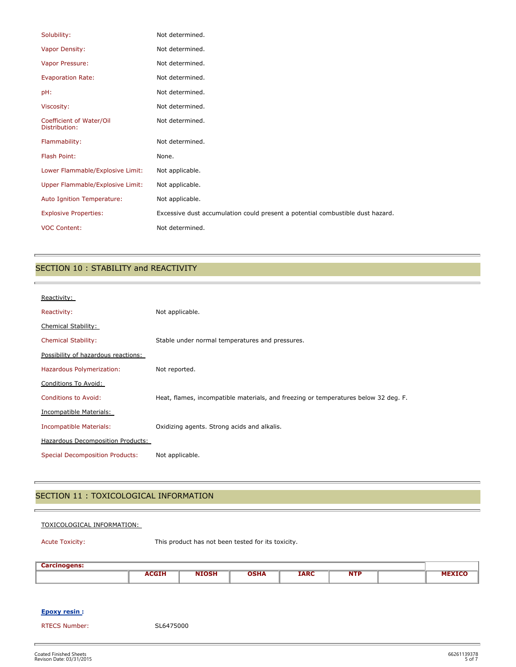| Solubility:                               | Not determined.                                                                |
|-------------------------------------------|--------------------------------------------------------------------------------|
| Vapor Density:                            | Not determined.                                                                |
| Vapor Pressure:                           | Not determined.                                                                |
| <b>Evaporation Rate:</b>                  | Not determined.                                                                |
| pH:                                       | Not determined.                                                                |
| Viscosity:                                | Not determined.                                                                |
| Coefficient of Water/Oil<br>Distribution: | Not determined.                                                                |
| Flammability:                             | Not determined.                                                                |
| Flash Point:                              | None.                                                                          |
| Lower Flammable/Explosive Limit:          | Not applicable.                                                                |
| Upper Flammable/Explosive Limit:          | Not applicable.                                                                |
| Auto Ignition Temperature:                | Not applicable.                                                                |
| <b>Explosive Properties:</b>              | Excessive dust accumulation could present a potential combustible dust hazard. |
| <b>VOC Content:</b>                       | Not determined.                                                                |

## SECTION 10 : STABILITY and REACTIVITY

| Reactivity:                            |                                                                                     |
|----------------------------------------|-------------------------------------------------------------------------------------|
| Reactivity:                            | Not applicable.                                                                     |
| <b>Chemical Stability:</b>             |                                                                                     |
| <b>Chemical Stability:</b>             | Stable under normal temperatures and pressures.                                     |
| Possibility of hazardous reactions:    |                                                                                     |
| Hazardous Polymerization:              | Not reported.                                                                       |
| Conditions To Avoid:                   |                                                                                     |
| <b>Conditions to Avoid:</b>            | Heat, flames, incompatible materials, and freezing or temperatures below 32 deg. F. |
| Incompatible Materials:                |                                                                                     |
| Incompatible Materials:                | Oxidizing agents. Strong acids and alkalis.                                         |
| Hazardous Decomposition Products:      |                                                                                     |
| <b>Special Decomposition Products:</b> | Not applicable.                                                                     |

## SECTION 11 : TOXICOLOGICAL INFORMATION

#### TOXICOLOGICAL INFORMATION:

è

Acute Toxicity: This product has not been tested for its toxicity.

| Carolin<br>-anogens. |             |                 |      |             |                    |      |
|----------------------|-------------|-----------------|------|-------------|--------------------|------|
|                      | <b>DOTE</b> | <b>ALCOHOL:</b> | USMA | <b>IARC</b> | NITE<br><b>NIP</b> | ____ |
|                      |             |                 |      |             |                    |      |

#### **Epoxy resin :**

RTECS Number: SL6475000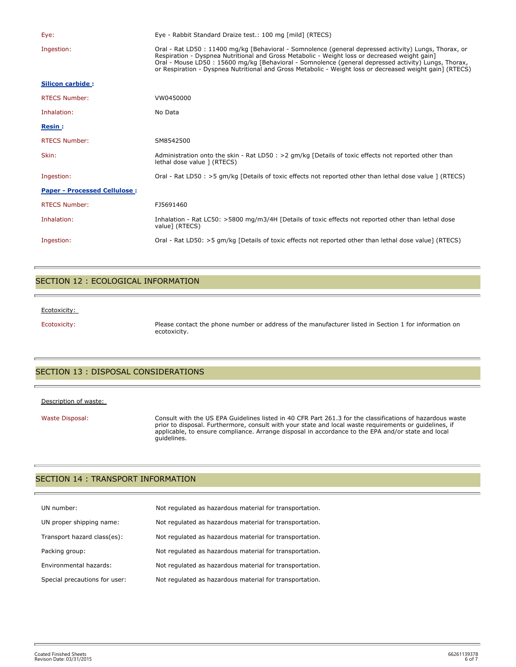| Eye:                                | Eye - Rabbit Standard Draize test.: 100 mg [mild] (RTECS)                                                                                                                                                                                                                                                                                                                                                                  |
|-------------------------------------|----------------------------------------------------------------------------------------------------------------------------------------------------------------------------------------------------------------------------------------------------------------------------------------------------------------------------------------------------------------------------------------------------------------------------|
| Ingestion:                          | Oral - Rat LD50 : 11400 mg/kg [Behavioral - Somnolence (general depressed activity) Lungs, Thorax, or<br>Respiration - Dyspnea Nutritional and Gross Metabolic - Weight loss or decreased weight gain]<br>Oral - Mouse LD50 : 15600 mg/kg [Behavioral - Somnolence (general depressed activity) Lungs, Thorax,<br>or Respiration - Dyspnea Nutritional and Gross Metabolic - Weight loss or decreased weight gain] (RTECS) |
| Silicon carbide:                    |                                                                                                                                                                                                                                                                                                                                                                                                                            |
| <b>RTECS Number:</b>                | VW0450000                                                                                                                                                                                                                                                                                                                                                                                                                  |
| Inhalation:                         | No Data                                                                                                                                                                                                                                                                                                                                                                                                                    |
| <b>Resin:</b>                       |                                                                                                                                                                                                                                                                                                                                                                                                                            |
| <b>RTECS Number:</b>                | SM8542500                                                                                                                                                                                                                                                                                                                                                                                                                  |
| Skin:                               | Administration onto the skin - Rat LD50 : $>2$ qm/kg [Details of toxic effects not reported other than<br>lethal dose value ] (RTECS)                                                                                                                                                                                                                                                                                      |
| Ingestion:                          | Oral - Rat LD50 : >5 qm/kg [Details of toxic effects not reported other than lethal dose value ] (RTECS)                                                                                                                                                                                                                                                                                                                   |
| <b>Paper - Processed Cellulose:</b> |                                                                                                                                                                                                                                                                                                                                                                                                                            |
| <b>RTECS Number:</b>                | FJ5691460                                                                                                                                                                                                                                                                                                                                                                                                                  |
| Inhalation:                         | Inhalation - Rat LC50: >5800 mg/m3/4H [Details of toxic effects not reported other than lethal dose<br>value] (RTECS)                                                                                                                                                                                                                                                                                                      |
| Ingestion:                          | Oral - Rat LD50: >5 gm/kg [Details of toxic effects not reported other than lethal dose value] (RTECS)                                                                                                                                                                                                                                                                                                                     |

## SECTION 12 : ECOLOGICAL INFORMATION

#### Ecotoxicity:

Ecotoxicity: Please contact the phone number or address of the manufacturer listed in Section 1 for information on ecotoxicity.

## SECTION 13 : DISPOSAL CONSIDERATIONS

#### Description of waste:

Waste Disposal: Consult with the US EPA Guidelines listed in 40 CFR Part 261.3 for the classifications of hazardous waste prior to disposal. Furthermore, consult with your state and local waste requirements or guidelines, if applicable, to ensure compliance. Arrange disposal in accordance to the EPA and/or state and local guidelines.

## SECTION 14 : TRANSPORT INFORMATION

| UN number:                    | Not regulated as hazardous material for transportation. |
|-------------------------------|---------------------------------------------------------|
| UN proper shipping name:      | Not regulated as hazardous material for transportation. |
| Transport hazard class(es):   | Not regulated as hazardous material for transportation. |
| Packing group:                | Not regulated as hazardous material for transportation. |
| Environmental hazards:        | Not regulated as hazardous material for transportation. |
| Special precautions for user: | Not requlated as hazardous material for transportation. |